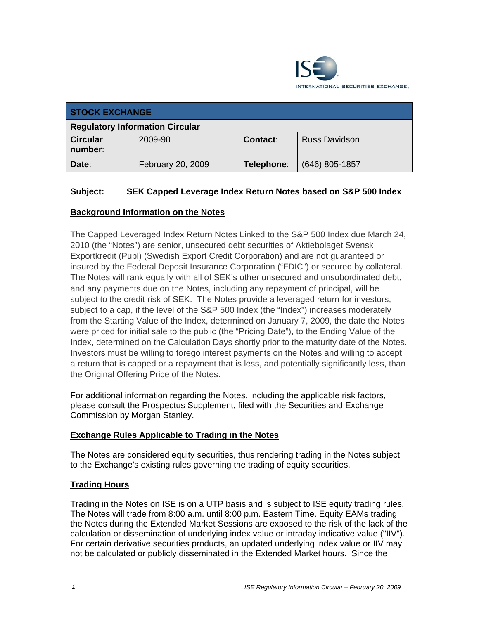

| <b>STOCK EXCHANGE</b>                  |                   |            |                      |
|----------------------------------------|-------------------|------------|----------------------|
| <b>Regulatory Information Circular</b> |                   |            |                      |
| <b>Circular</b><br>number:             | 2009-90           | Contact:   | <b>Russ Davidson</b> |
| Date:                                  | February 20, 2009 | Telephone: | $(646)$ 805-1857     |

## **Subject: SEK Capped Leverage Index Return Notes based on S&P 500 Index**

## **Background Information on the Notes**

The Capped Leveraged Index Return Notes Linked to the S&P 500 Index due March 24, 2010 (the "Notes") are senior, unsecured debt securities of Aktiebolaget Svensk Exportkredit (Publ) (Swedish Export Credit Corporation) and are not guaranteed or insured by the Federal Deposit Insurance Corporation ("FDIC") or secured by collateral. The Notes will rank equally with all of SEK's other unsecured and unsubordinated debt, and any payments due on the Notes, including any repayment of principal, will be subject to the credit risk of SEK. The Notes provide a leveraged return for investors, subject to a cap, if the level of the S&P 500 Index (the "Index") increases moderately from the Starting Value of the Index, determined on January 7, 2009, the date the Notes were priced for initial sale to the public (the "Pricing Date"), to the Ending Value of the Index, determined on the Calculation Days shortly prior to the maturity date of the Notes. Investors must be willing to forego interest payments on the Notes and willing to accept a return that is capped or a repayment that is less, and potentially significantly less, than the Original Offering Price of the Notes.

For additional information regarding the Notes, including the applicable risk factors, please consult the Prospectus Supplement, filed with the Securities and Exchange Commission by Morgan Stanley.

## **Exchange Rules Applicable to Trading in the Notes**

The Notes are considered equity securities, thus rendering trading in the Notes subject to the Exchange's existing rules governing the trading of equity securities.

### **Trading Hours**

Trading in the Notes on ISE is on a UTP basis and is subject to ISE equity trading rules. The Notes will trade from 8:00 a.m. until 8:00 p.m. Eastern Time. Equity EAMs trading the Notes during the Extended Market Sessions are exposed to the risk of the lack of the calculation or dissemination of underlying index value or intraday indicative value ("IIV"). For certain derivative securities products, an updated underlying index value or IIV may not be calculated or publicly disseminated in the Extended Market hours. Since the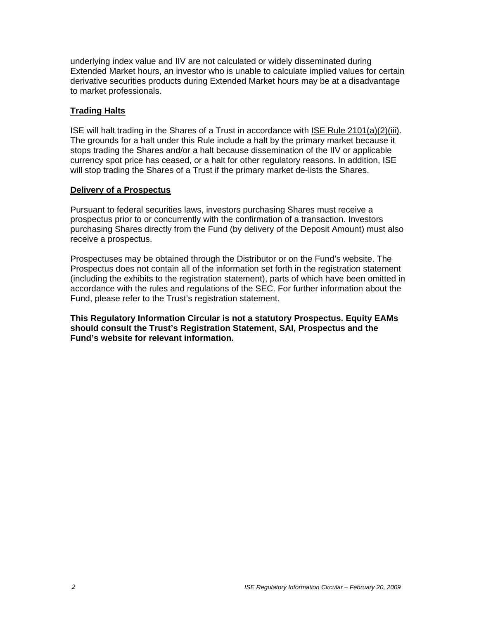underlying index value and IIV are not calculated or widely disseminated during Extended Market hours, an investor who is unable to calculate implied values for certain derivative securities products during Extended Market hours may be at a disadvantage to market professionals.

### **Trading Halts**

ISE will halt trading in the Shares of a Trust in accordance with ISE Rule 2101(a)(2)(iii). The grounds for a halt under this Rule include a halt by the primary market because it stops trading the Shares and/or a halt because dissemination of the IIV or applicable currency spot price has ceased, or a halt for other regulatory reasons. In addition, ISE will stop trading the Shares of a Trust if the primary market de-lists the Shares.

#### **Delivery of a Prospectus**

Pursuant to federal securities laws, investors purchasing Shares must receive a prospectus prior to or concurrently with the confirmation of a transaction. Investors purchasing Shares directly from the Fund (by delivery of the Deposit Amount) must also receive a prospectus.

Prospectuses may be obtained through the Distributor or on the Fund's website. The Prospectus does not contain all of the information set forth in the registration statement (including the exhibits to the registration statement), parts of which have been omitted in accordance with the rules and regulations of the SEC. For further information about the Fund, please refer to the Trust's registration statement.

**This Regulatory Information Circular is not a statutory Prospectus. Equity EAMs should consult the Trust's Registration Statement, SAI, Prospectus and the Fund's website for relevant information.**